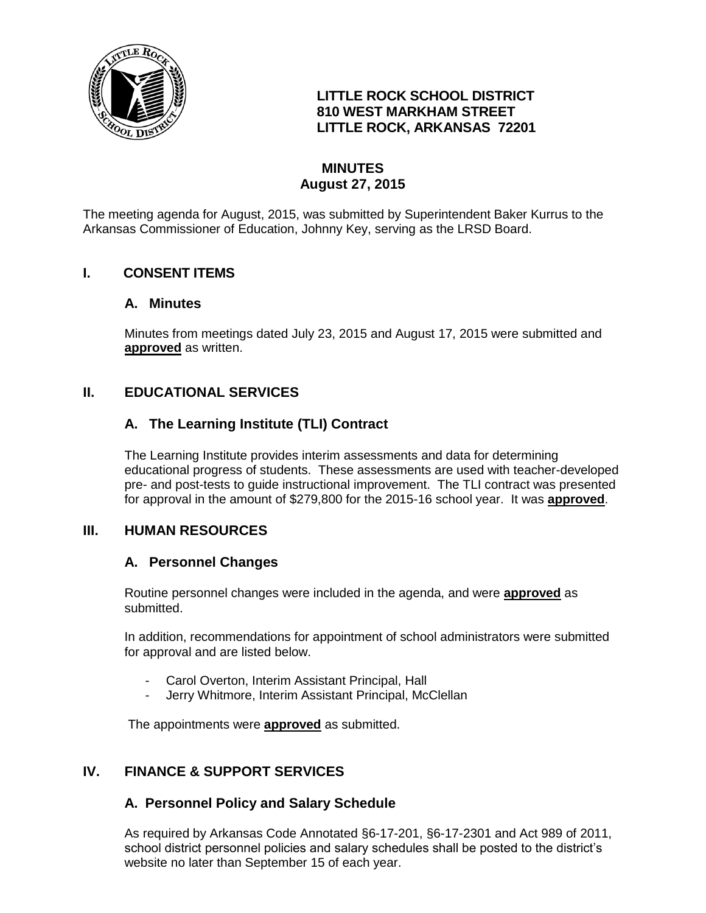

## **LITTLE ROCK SCHOOL DISTRICT 810 WEST MARKHAM STREET LITTLE ROCK, ARKANSAS 72201**

# **MINUTES August 27, 2015**

The meeting agenda for August, 2015, was submitted by Superintendent Baker Kurrus to the Arkansas Commissioner of Education, Johnny Key, serving as the LRSD Board.

## **I. CONSENT ITEMS**

#### **A. Minutes**

Minutes from meetings dated July 23, 2015 and August 17, 2015 were submitted and **approved** as written.

## **II. EDUCATIONAL SERVICES**

## **A. The Learning Institute (TLI) Contract**

The Learning Institute provides interim assessments and data for determining educational progress of students. These assessments are used with teacher-developed pre- and post-tests to guide instructional improvement. The TLI contract was presented for approval in the amount of \$279,800 for the 2015-16 school year. It was **approved**.

#### **III. HUMAN RESOURCES**

#### **A. Personnel Changes**

Routine personnel changes were included in the agenda, and were **approved** as submitted.

In addition, recommendations for appointment of school administrators were submitted for approval and are listed below.

- Carol Overton, Interim Assistant Principal, Hall
- Jerry Whitmore, Interim Assistant Principal, McClellan

The appointments were **approved** as submitted.

#### **IV. FINANCE & SUPPORT SERVICES**

#### **A. Personnel Policy and Salary Schedule**

As required by Arkansas Code Annotated §6-17-201, §6-17-2301 and Act 989 of 2011, school district personnel policies and salary schedules shall be posted to the district's website no later than September 15 of each year.